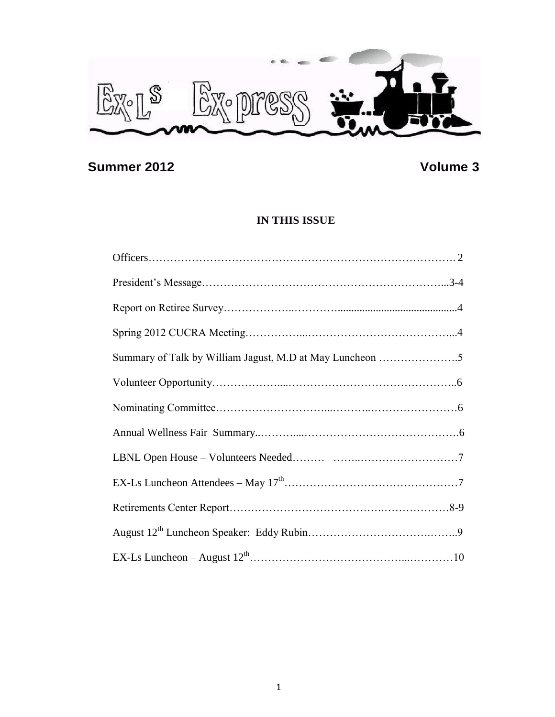

# **Summer 2012 Volume 3**

# **IN THIS ISSUE**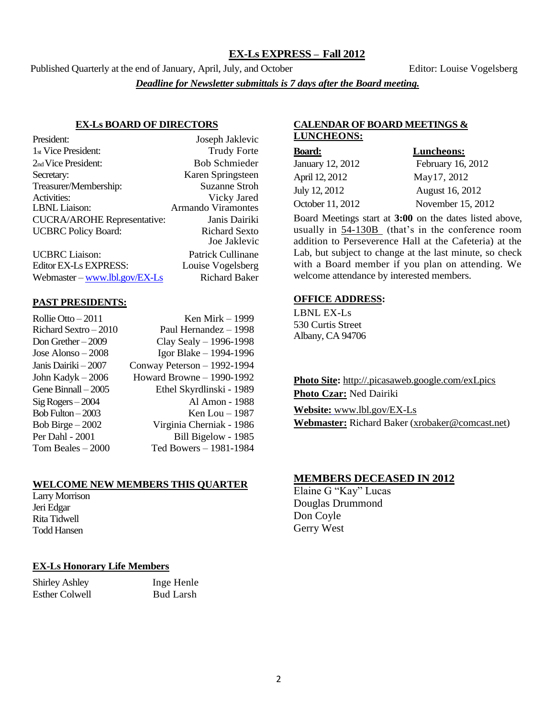### **EX-Ls EXPRESS – Fall 2012**

Published Quarterly at the end of January, April, July, and October Editor: Louise Vogelsberg

*Deadline for Newsletter submittals is 7 days after the Board meeting.*

#### **EX-Ls BOARD OF DIRECTORS**

| Joseph Jaklevic           |
|---------------------------|
| <b>Trudy Forte</b>        |
| <b>Bob Schmieder</b>      |
| Karen Springsteen         |
| <b>Suzanne Stroh</b>      |
| Vicky Jared               |
| <b>Armando Viramontes</b> |
| Janis Dairiki             |
| <b>Richard Sexto</b>      |
| Joe Jaklevic              |
| Patrick Cullinane         |
|                           |

Editor EX-Ls EXPRESS: Louise Vogelsberg Webmaster – [www.lbl.gov/EX-Ls](http://www.lbl.gov/EX-Ls) Richard Baker

#### **PAST PRESIDENTS:**

| Rollie Otto $-2011$   | Ken Mirk – 1999             |
|-----------------------|-----------------------------|
| Richard Sextro - 2010 | Paul Hernandez - 1998       |
| Don Grether $-2009$   | Clay Sealy $-$ 1996-1998    |
| Jose Alonso $-2008$   | Igor Blake - 1994-1996      |
| Janis Dairiki – 2007  | Conway Peterson - 1992-1994 |
| John Kadyk $-2006$    | Howard Browne - 1990-1992   |
| Gene Binnall - 2005   | Ethel Skyrdlinski - 1989    |
| $Sig Rogers - 2004$   | Al Amon - 1988              |
| Bob Fulton $-2003$    | Ken Lou $-1987$             |
| Bob Birge $-2002$     | Virginia Cherniak - 1986    |
| Per Dahl - 2001       | Bill Bigelow - 1985         |
| Tom Beales $-2000$    | Ted Bowers - 1981-1984      |
|                       |                             |

### **WELCOME NEW MEMBERS THIS QUARTER**

Larry Morrison Jeri Edgar Rita Tidwell Todd Hansen

### **EX-Ls Honorary Life Members**

Shirley Ashley Inge Henle Esther Colwell Bud Larsh

### **CALENDAR OF BOARD MEETINGS & LUNCHEONS:**

| <b>Board:</b>    | Luncheons:        |
|------------------|-------------------|
| January 12, 2012 | February 16, 2012 |
| April 12, 2012   | May17, 2012       |
| July 12, 2012    | August 16, 2012   |
| October 11, 2012 | November 15, 2012 |

Board Meetings start at **3:00** on the dates listed above, usually in 54-130B (that's in the conference room addition to Perseverence Hall at the Cafeteria) at the Lab, but subject to change at the last minute, so check with a Board member if you plan on attending. We welcome attendance by interested members.

### **OFFICE ADDRESS:**

LBNL EX-Ls 530 Curtis Street Albany, CA 94706

**Photo Site:** http://.picasaweb.google.com/exLpics **Photo Czar:** Ned Dairiki **Website:** [www.lbl.gov/EX-Ls](http://www.lbl.gov/EX-Ls) **Webmaster:** Richard Baker [\(xrobaker@comcast.net\)](mailto:xrobaker@comcast.net)

### **MEMBERS DECEASED IN 2012**

Elaine G "Kay" Lucas Douglas Drummond Don Coyle Gerry West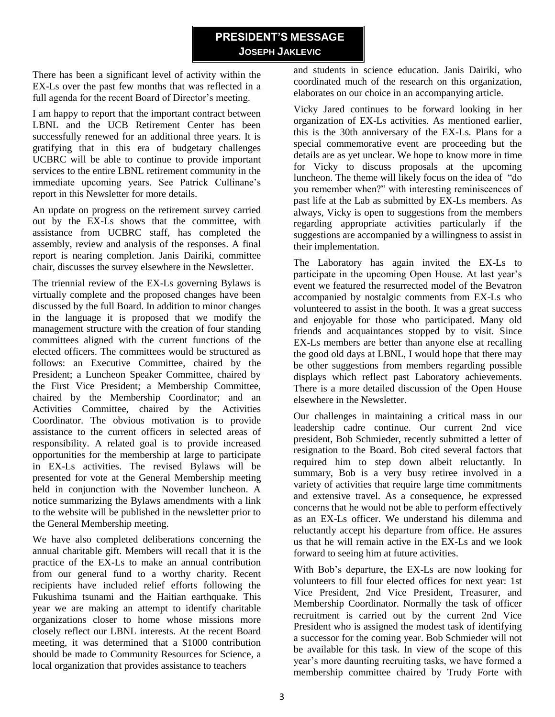# **PRESIDENT'S MESSAGE JOSEPH JAKLEVIC**

There has been a significant level of activity within the EX-Ls over the past few months that was reflected in a full agenda for the recent Board of Director's meeting.

I am happy to report that the important contract between LBNL and the UCB Retirement Center has been successfully renewed for an additional three years. It is gratifying that in this era of budgetary challenges UCBRC will be able to continue to provide important services to the entire LBNL retirement community in the immediate upcoming years. See Patrick Cullinane's report in this Newsletter for more details.

An update on progress on the retirement survey carried out by the EX-Ls shows that the committee, with assistance from UCBRC staff, has completed the assembly, review and analysis of the responses. A final report is nearing completion. Janis Dairiki, committee chair, discusses the survey elsewhere in the Newsletter.

The triennial review of the EX-Ls governing Bylaws is virtually complete and the proposed changes have been discussed by the full Board. In addition to minor changes in the language it is proposed that we modify the management structure with the creation of four standing committees aligned with the current functions of the elected officers. The committees would be structured as follows: an Executive Committee, chaired by the President; a Luncheon Speaker Committee, chaired by the First Vice President; a Membership Committee, chaired by the Membership Coordinator; and an Activities Committee, chaired by the Activities Coordinator. The obvious motivation is to provide assistance to the current officers in selected areas of responsibility. A related goal is to provide increased opportunities for the membership at large to participate in EX-Ls activities. The revised Bylaws will be presented for vote at the General Membership meeting held in conjunction with the November luncheon. A notice summarizing the Bylaws amendments with a link to the website will be published in the newsletter prior to the General Membership meeting.

We have also completed deliberations concerning the annual charitable gift. Members will recall that it is the practice of the EX-Ls to make an annual contribution from our general fund to a worthy charity. Recent recipients have included relief efforts following the Fukushima tsunami and the Haitian earthquake. This year we are making an attempt to identify charitable organizations closer to home whose missions more closely reflect our LBNL interests. At the recent Board meeting, it was determined that a \$1000 contribution should be made to Community Resources for Science, a local organization that provides assistance to teachers

and students in science education. Janis Dairiki, who coordinated much of the research on this organization, elaborates on our choice in an accompanying article.

Vicky Jared continues to be forward looking in her organization of EX-Ls activities. As mentioned earlier, this is the 30th anniversary of the EX-Ls. Plans for a special commemorative event are proceeding but the details are as yet unclear. We hope to know more in time for Vicky to discuss proposals at the upcoming luncheon. The theme will likely focus on the idea of "do you remember when?" with interesting reminiscences of past life at the Lab as submitted by EX-Ls members. As always, Vicky is open to suggestions from the members regarding appropriate activities particularly if the suggestions are accompanied by a willingness to assist in their implementation.

The Laboratory has again invited the EX-Ls to participate in the upcoming Open House. At last year's event we featured the resurrected model of the Bevatron accompanied by nostalgic comments from EX-Ls who volunteered to assist in the booth. It was a great success and enjoyable for those who participated. Many old friends and acquaintances stopped by to visit. Since EX-Ls members are better than anyone else at recalling the good old days at LBNL, I would hope that there may be other suggestions from members regarding possible displays which reflect past Laboratory achievements. There is a more detailed discussion of the Open House elsewhere in the Newsletter.

Our challenges in maintaining a critical mass in our leadership cadre continue. Our current 2nd vice president, Bob Schmieder, recently submitted a letter of resignation to the Board. Bob cited several factors that required him to step down albeit reluctantly. In summary, Bob is a very busy retiree involved in a variety of activities that require large time commitments and extensive travel. As a consequence, he expressed concerns that he would not be able to perform effectively as an EX-Ls officer. We understand his dilemma and reluctantly accept his departure from office. He assures us that he will remain active in the EX-Ls and we look forward to seeing him at future activities.

With Bob's departure, the EX-Ls are now looking for volunteers to fill four elected offices for next year: 1st Vice President, 2nd Vice President, Treasurer, and Membership Coordinator. Normally the task of officer recruitment is carried out by the current 2nd Vice President who is assigned the modest task of identifying a successor for the coming year. Bob Schmieder will not be available for this task. In view of the scope of this year's more daunting recruiting tasks, we have formed a membership committee chaired by Trudy Forte with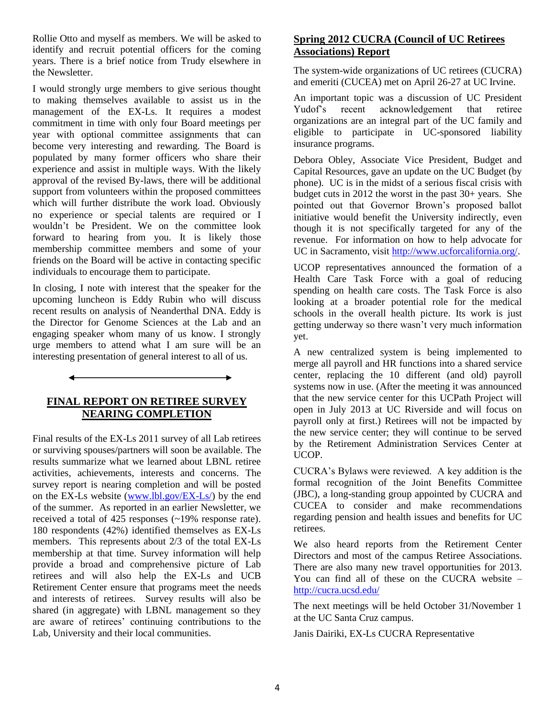Rollie Otto and myself as members. We will be asked to identify and recruit potential officers for the coming years. There is a brief notice from Trudy elsewhere in the Newsletter.

I would strongly urge members to give serious thought to making themselves available to assist us in the management of the EX-Ls. It requires a modest commitment in time with only four Board meetings per year with optional committee assignments that can become very interesting and rewarding. The Board is populated by many former officers who share their experience and assist in multiple ways. With the likely approval of the revised By-laws, there will be additional support from volunteers within the proposed committees which will further distribute the work load. Obviously no experience or special talents are required or I wouldn't be President. We on the committee look forward to hearing from you. It is likely those membership committee members and some of your friends on the Board will be active in contacting specific individuals to encourage them to participate.

In closing, I note with interest that the speaker for the upcoming luncheon is Eddy Rubin who will discuss recent results on analysis of Neanderthal DNA. Eddy is the Director for Genome Sciences at the Lab and an engaging speaker whom many of us know. I strongly urge members to attend what I am sure will be an interesting presentation of general interest to all of us.

## **FINAL REPORT ON RETIREE SURVEY NEARING COMPLETION**

 $\overline{\phantom{0}}$ 

Final results of the EX-Ls 2011 survey of all Lab retirees or surviving spouses/partners will soon be available. The results summarize what we learned about LBNL retiree activities, achievements, interests and concerns. The survey report is nearing completion and will be posted on the EX-Ls website [\(www.lbl.gov/EX-Ls/\)](http://www.lbl.gov/EX-Ls/) by the end of the summer. As reported in an earlier Newsletter, we received a total of 425 responses (~19% response rate). 180 respondents (42%) identified themselves as EX-Ls members. This represents about 2/3 of the total EX-Ls membership at that time. Survey information will help provide a broad and comprehensive picture of Lab retirees and will also help the EX-Ls and UCB Retirement Center ensure that programs meet the needs and interests of retirees. Survey results will also be shared (in aggregate) with LBNL management so they are aware of retirees' continuing contributions to the Lab, University and their local communities.

## **Spring 2012 CUCRA (Council of UC Retirees Associations) Report**

The system-wide organizations of UC retirees (CUCRA) and emeriti (CUCEA) met on April 26-27 at UC Irvine.

An important topic was a discussion of UC President Yudof's recent acknowledgement that retiree organizations are an integral part of the UC family and eligible to participate in UC-sponsored liability insurance programs.

Debora Obley, Associate Vice President, Budget and Capital Resources, gave an update on the UC Budget (by phone). UC is in the midst of a serious fiscal crisis with budget cuts in 2012 the worst in the past 30+ years. She pointed out that Governor Brown's proposed ballot initiative would benefit the University indirectly, even though it is not specifically targeted for any of the revenue. For information on how to help advocate for UC in Sacramento, visit [http://www.ucforcalifornia.org/.](http://www.ucforcalifornia.org/)

UCOP representatives announced the formation of a Health Care Task Force with a goal of reducing spending on health care costs. The Task Force is also looking at a broader potential role for the medical schools in the overall health picture. Its work is just getting underway so there wasn't very much information yet.

A new centralized system is being implemented to merge all payroll and HR functions into a shared service center, replacing the 10 different (and old) payroll systems now in use. (After the meeting it was announced that the new service center for this UCPath Project will open in July 2013 at UC Riverside and will focus on payroll only at first.) Retirees will not be impacted by the new service center; they will continue to be served by the Retirement Administration Services Center at UCOP.

CUCRA's Bylaws were reviewed. A key addition is the formal recognition of the Joint Benefits Committee (JBC), a long-standing group appointed by CUCRA and CUCEA to consider and make recommendations regarding pension and health issues and benefits for UC retirees.

We also heard reports from the Retirement Center Directors and most of the campus Retiree Associations. There are also many new travel opportunities for 2013. You can find all of these on the CUCRA website – <http://cucra.ucsd.edu/>

The next meetings will be held October 31/November 1 at the UC Santa Cruz campus.

Janis Dairiki, EX-Ls CUCRA Representative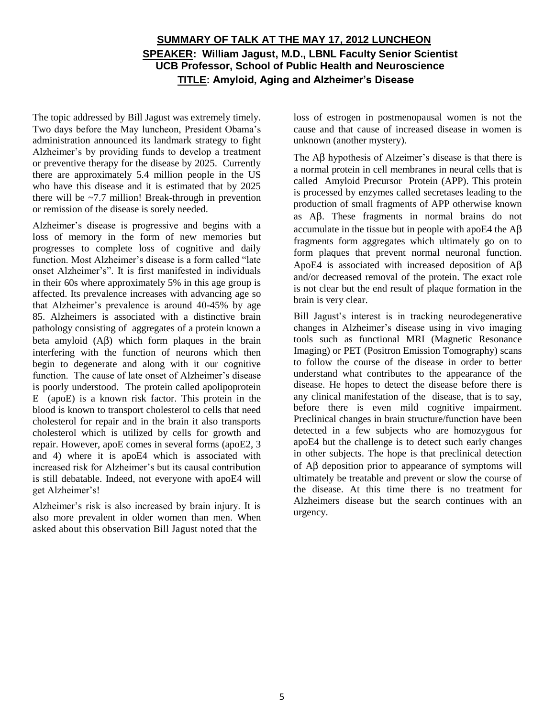# **SUMMARY OF TALK AT THE MAY 17, 2012 LUNCHEON SPEAKER: William Jagust, M.D., LBNL Faculty Senior Scientist UCB Professor, School of Public Health and Neuroscience TITLE: Amyloid, Aging and Alzheimer's Disease**

The topic addressed by Bill Jagust was extremely timely. Two days before the May luncheon, President Obama's administration announced its landmark strategy to fight Alzheimer's by providing funds to develop a treatment or preventive therapy for the disease by 2025. Currently there are approximately 5.4 million people in the US who have this disease and it is estimated that by 2025 there will be  $\sim$ 7.7 million! Break-through in prevention or remission of the disease is sorely needed.

Alzheimer's disease is progressive and begins with a loss of memory in the form of new memories but progresses to complete loss of cognitive and daily function. Most Alzheimer's disease is a form called "late onset Alzheimer's". It is first manifested in individuals in their 60s where approximately 5% in this age group is affected. Its prevalence increases with advancing age so that Alzheimer's prevalence is around 40-45% by age 85. Alzheimers is associated with a distinctive brain pathology consisting of aggregates of a protein known a beta amyloid  $(A\beta)$  which form plaques in the brain interfering with the function of neurons which then begin to degenerate and along with it our cognitive function. The cause of late onset of Alzheimer's disease is poorly understood. The protein called apolipoprotein E (apoE) is a known risk factor. This protein in the blood is known to transport cholesterol to cells that need cholesterol for repair and in the brain it also transports cholesterol which is utilized by cells for growth and repair. However, apoE comes in several forms (apoE2, 3 and 4) where it is apoE4 which is associated with increased risk for Alzheimer's but its causal contribution is still debatable. Indeed, not everyone with apoE4 will get Alzheimer's!

Alzheimer's risk is also increased by brain injury. It is also more prevalent in older women than men. When asked about this observation Bill Jagust noted that the

loss of estrogen in postmenopausal women is not the cause and that cause of increased disease in women is unknown (another mystery).

The  $\overrightarrow{AB}$  hypothesis of Alzeimer's disease is that there is a normal protein in cell membranes in neural cells that is called Amyloid Precursor Protein (APP). This protein is processed by enzymes called secretases leading to the production of small fragments of APP otherwise known as Ab. These fragments in normal brains do not accumulate in the tissue but in people with apoE4 the  $\overrightarrow{AB}$ fragments form aggregates which ultimately go on to form plaques that prevent normal neuronal function. ApoE4 is associated with increased deposition of  $\overrightarrow{AB}$ and/or decreased removal of the protein. The exact role is not clear but the end result of plaque formation in the brain is very clear.

Bill Jagust's interest is in tracking neurodegenerative changes in Alzheimer's disease using in vivo imaging tools such as functional MRI (Magnetic Resonance Imaging) or PET (Positron Emission Tomography) scans to follow the course of the disease in order to better understand what contributes to the appearance of the disease. He hopes to detect the disease before there is any clinical manifestation of the disease, that is to say, before there is even mild cognitive impairment. Preclinical changes in brain structure/function have been detected in a few subjects who are homozygous for apoE4 but the challenge is to detect such early changes in other subjects. The hope is that preclinical detection of  $\overrightarrow{AB}$  deposition prior to appearance of symptoms will ultimately be treatable and prevent or slow the course of the disease. At this time there is no treatment for Alzheimers disease but the search continues with an urgency.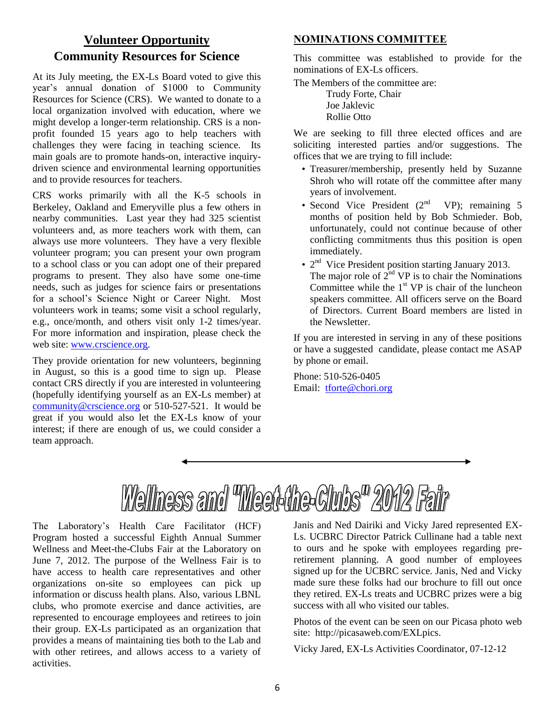# **Volunteer Opportunity Community Resources for Science**

At its July meeting, the EX-Ls Board voted to give this year's annual donation of \$1000 to Community Resources for Science (CRS). We wanted to donate to a local organization involved with education, where we might develop a longer-term relationship. CRS is a nonprofit founded 15 years ago to help teachers with challenges they were facing in teaching science. Its main goals are to promote hands-on, interactive inquirydriven science and environmental learning opportunities and to provide resources for teachers.

CRS works primarily with all the K-5 schools in Berkeley, Oakland and Emeryville plus a few others in nearby communities. Last year they had 325 scientist volunteers and, as more teachers work with them, can always use more volunteers. They have a very flexible volunteer program; you can present your own program to a school class or you can adopt one of their prepared programs to present. They also have some one-time needs, such as judges for science fairs or presentations for a school's Science Night or Career Night. Most volunteers work in teams; some visit a school regularly, e.g., once/month, and others visit only 1-2 times/year. For more information and inspiration, please check the web site: [www.crscience.org.](http://www.crscience.org/)

They provide orientation for new volunteers, beginning in August, so this is a good time to sign up. Please contact CRS directly if you are interested in volunteering (hopefully identifying yourself as an EX-Ls member) at [community@crscience.org](mailto:community@crscience.org) or 510-527-521. It would be great if you would also let the EX-Ls know of your interest; if there are enough of us, we could consider a team approach.

## **NOMINATIONS COMMITTEE**

This committee was established to provide for the nominations of EX-Ls officers.

The Members of the committee are:

Trudy Forte, Chair Joe Jaklevic Rollie Otto

We are seeking to fill three elected offices and are soliciting interested parties and/or suggestions. The offices that we are trying to fill include:

- Treasurer/membership, presently held by Suzanne Shroh who will rotate off the committee after many years of involvement.
- Second Vice President  $(2<sup>nd</sup> VP)$ ; remaining 5 months of position held by Bob Schmieder. Bob, unfortunately, could not continue because of other conflicting commitments thus this position is open immediately.
- $\bullet$  2<sup>nd</sup> Vice President position starting January 2013. The major role of  $2^{nd}$  VP is to chair the Nominations Committee while the  $1<sup>st</sup> VP$  is chair of the luncheon speakers committee. All officers serve on the Board of Directors. Current Board members are listed in the Newsletter.

If you are interested in serving in any of these positions or have a suggested candidate, please contact me ASAP by phone or email.

Phone: 510-526-0405 Email: [tforte@chori.org](mailto:tforte@chori.org)



The Laboratory's Health Care Facilitator (HCF) Program hosted a successful Eighth Annual Summer Wellness and Meet-the-Clubs Fair at the Laboratory on June 7, 2012. The purpose of the Wellness Fair is to have access to health care representatives and other organizations on-site so employees can pick up information or discuss health plans. Also, various LBNL clubs, who promote exercise and dance activities, are represented to encourage employees and retirees to join their group. EX-Ls participated as an organization that provides a means of maintaining ties both to the Lab and with other retirees, and allows access to a variety of activities.

Janis and Ned Dairiki and Vicky Jared represented EX-Ls. UCBRC Director Patrick Cullinane had a table next to ours and he spoke with employees regarding preretirement planning. A good number of employees signed up for the UCBRC service. Janis, Ned and Vicky made sure these folks had our brochure to fill out once they retired. EX-Ls treats and UCBRC prizes were a big success with all who visited our tables.

Photos of the event can be seen on our Picasa photo web site: http://picasaweb.com/EXLpics.

Vicky Jared, EX-Ls Activities Coordinator, 07-12-12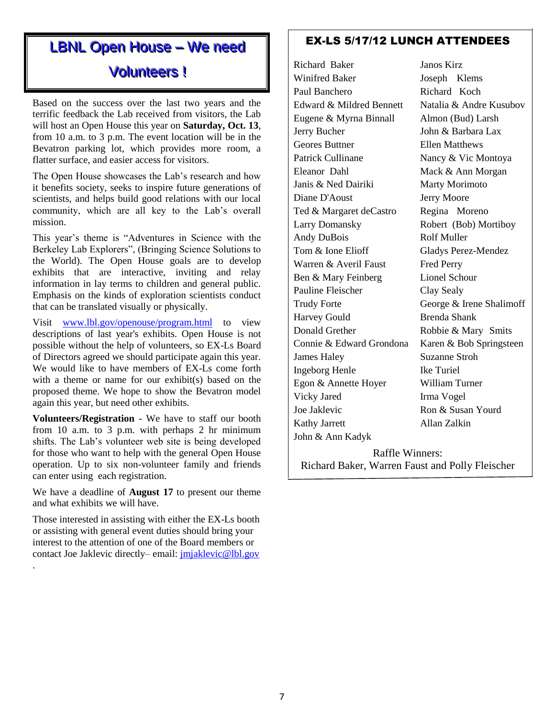# LBNL Open House - We need

# Volunteers!

Based on the success over the last two years and the terrific feedback the Lab received from visitors, the Lab will host an Open House this year on **Saturday, Oct. 13**, from 10 a.m. to 3 p.m. The event location will be in the Bevatron parking lot, which provides more room, a flatter surface, and easier access for visitors.

The Open House showcases the Lab's research and how it benefits society, seeks to inspire future generations of scientists, and helps build good relations with our local community, which are all key to the Lab's overall mission.

This year's theme is "Adventures in Science with the Berkeley Lab Explorers", (Bringing Science Solutions to the World). The Open House goals are to develop exhibits that are interactive, inviting and relay information in lay terms to children and general public. Emphasis on the kinds of exploration scientists conduct that can be translated visually or physically.

Visit [www.lbl.gov/openouse/program.html](http://www.lbl.gov/openouse/program.html) to view descriptions of last year's exhibits. Open House is not possible without the help of volunteers, so EX-Ls Board of Directors agreed we should participate again this year. We would like to have members of EX-Ls come forth with a theme or name for our exhibit(s) based on the proposed theme. We hope to show the Bevatron model again this year, but need other exhibits.

**Volunteers/Registration** - We have to staff our booth from 10 a.m. to 3 p.m. with perhaps 2 hr minimum shifts. The Lab's volunteer web site is being developed for those who want to help with the general Open House operation. Up to six non-volunteer family and friends can enter using each registration.

We have a deadline of **August 17** to present our theme and what exhibits we will have.

Those interested in assisting with either the EX-Ls booth or assisting with general event duties should bring your interest to the attention of one of the Board members or contact Joe Jaklevic directly– email: [jmjaklevic@lbl.gov](mailto:jmjaklevic@lbl.gov)

.

# EX-LS 5/17/12 LUNCH ATTENDEES

Richard Baker Janos Kirz Winifred Baker Joseph Klems Paul Banchero Richard Koch Edward & Mildred Bennett Natalia & Andre Kusubov Eugene & Myrna Binnall Almon (Bud) Larsh Jerry Bucher John & Barbara Lax Geores Buttner Ellen Matthews Patrick Cullinane Nancy & Vic Montoya Eleanor Dahl Mack & Ann Morgan Janis & Ned Dairiki Marty Morimoto Diane D'Aoust Jerry Moore Ted & Margaret deCastro Regina Moreno Larry Domansky Robert (Bob) Mortiboy Andy DuBois Rolf Muller Tom & Ione Elioff Gladys Perez-Mendez Warren & Averil Faust Fred Perry Ben & Mary Feinberg Lionel Schour Pauline Fleischer Clay Sealy Trudy Forte George & Irene Shalimoff Harvey Gould Brenda Shank Donald Grether Robbie & Mary Smits Connie & Edward Grondona Karen & Bob Springsteen James Haley Suzanne Stroh Ingeborg Henle Ike Turiel Egon & Annette Hoyer William Turner Vicky Jared Irma Vogel Joe Jaklevic Ron & Susan Yourd Kathy Jarrett Allan Zalkin John & Ann Kadyk

Raffle Winners: Richard Baker, Warren Faust and Polly Fleischer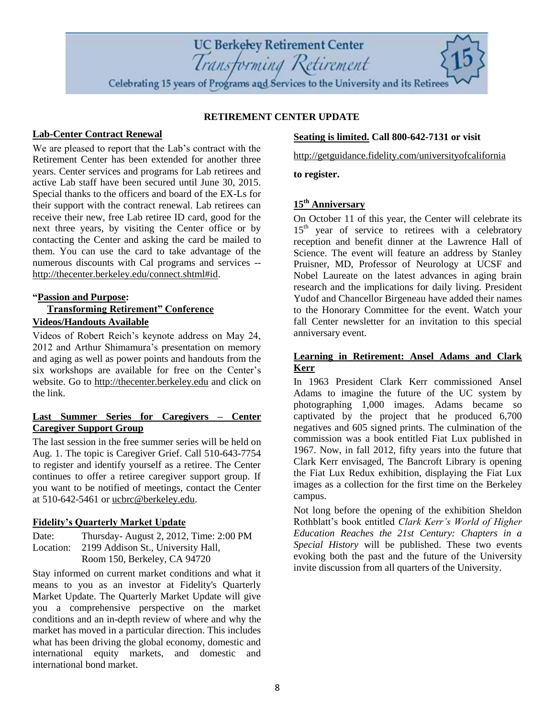## **Last Summer Series for Caregivers – Center Caregiver Support Group**

Videos of Robert Reich's keynote address on May 24, 2012 and Arthur Shimamura's presentation on memory and aging as well as power points and handouts from the six workshops are available for free on the Center's website. Go to [http://thecenter.berkeley.edu](http://thecenter.berkeley.edu/) and click on

The last session in the free summer series will be held on Aug. 1. The topic is Caregiver Grief. Call 510-643-7754 to register and identify yourself as a retiree. The Center continues to offer a retiree caregiver support group. If you want to be notified of meetings, contact the Center at 510-642-5461 or [ucbrc@berkeley.edu.](mailto:ucbrc@berkeley.edu)

### **Fidelity's Quarterly Market Update**

**Lab-Center Contract Renewal**

**"Passion and Purpose:** 

the link.

**Videos/Handouts Available**

We are pleased to report that the Lab's contract with the Retirement Center has been extended for another three years. Center services and programs for Lab retirees and active Lab staff have been secured until June 30, 2015. Special thanks to the officers and board of the EX-Ls for their support with the contract renewal. Lab retirees can receive their new, free Lab retiree ID card, good for the next three years, by visiting the Center office or by contacting the Center and asking the card be mailed to them. You can use the card to take advantage of the numerous discounts with Cal programs and services --

[http://thecenter.berkeley.edu/connect.shtml#id.](http://thecenter.berkeley.edu/connect.shtml#id)

**Transforming Retirement" Conference**

Date: Thursday- August 2, 2012, Time: 2:00 PM Location: 2199 Addison St., University Hall, Room 150, Berkeley, CA 94720

Stay informed on current market conditions and what it means to you as an investor at Fidelity's Quarterly Market Update. The Quarterly Market Update will give you a comprehensive perspective on the market conditions and an in-depth review of where and why the market has moved in a particular direction. This includes what has been driving the global economy, domestic and international equity markets, and domestic and international bond market.

### **Seating is limited. Call 800-642-7131 or visit**

<http://getguidance.fidelity.com/universityofcalifornia>

**to register.**

**RETIREMENT CENTER UPDATE**

**UC Berkeley Retirement Center** 

Transforming Retirement Celebrating 15 years of Programs and Services to the University and its Retirees

# **15th Anniversary**

On October 11 of this year, the Center will celebrate its 15<sup>th</sup> year of service to retirees with a celebratory reception and benefit dinner at the Lawrence Hall of Science. The event will feature an address by Stanley Pruisner, MD, Professor of Neurology at UCSF and Nobel Laureate on the latest advances in aging brain research and the implications for daily living. President Yudof and Chancellor Birgeneau have added their names to the Honorary Committee for the event. Watch your fall Center newsletter for an invitation to this special anniversary event.

### **Learning in Retirement: Ansel Adams and Clark Kerr**

In 1963 President Clark Kerr commissioned Ansel Adams to imagine the future of the UC system by photographing 1,000 images. Adams became so captivated by the project that he produced 6,700 negatives and 605 signed prints. The culmination of the commission was a book entitled Fiat Lux published in 1967. Now, in fall 2012, fifty years into the future that Clark Kerr envisaged, The Bancroft Library is opening the Fiat Lux Redux exhibition, displaying the Fiat Lux images as a collection for the first time on the Berkeley campus.

Not long before the opening of the exhibition Sheldon Rothblatt's book entitled *Clark Kerr's World of Higher Education Reaches the 21st Century: Chapters in a Special History* will be published. These two events evoking both the past and the future of the University invite discussion from all quarters of the University.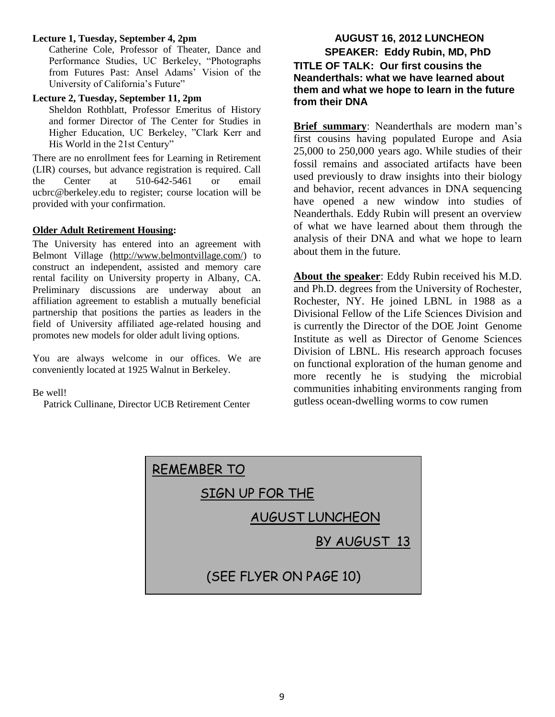### **Lecture 1, Tuesday, September 4, 2pm**

Catherine Cole, Professor of Theater, Dance and Performance Studies, UC Berkeley, "Photographs from Futures Past: Ansel Adams' Vision of the University of California's Future"

### **Lecture 2, Tuesday, September 11, 2pm**

Sheldon Rothblatt, Professor Emeritus of History and former Director of The Center for Studies in Higher Education, UC Berkeley, "Clark Kerr and His World in the 21st Century"

There are no enrollment fees for Learning in Retirement (LIR) courses, but advance registration is required. Call the Center at 510-642-5461 or email ucbrc@berkeley.edu to register; course location will be provided with your confirmation.

### **Older Adult Retirement Housing:**

The University has entered into an agreement with Belmont Village (http://www.belmontvillage.com/) to construct an independent, assisted and memory care rental facility on University property in Albany, CA. Preliminary discussions are underway about an affiliation agreement to establish a mutually beneficial partnership that positions the parties as leaders in the field of University affiliated age-related housing and promotes new models for older adult living options.

You are always welcome in our offices. We are conveniently located at 1925 Walnut in Berkeley.

### Be well!

Patrick Cullinane, Director UCB Retirement Center

# **AUGUST 16, 2012 LUNCHEON SPEAKER: Eddy Rubin, MD, PhD TITLE OF TALK: Our first cousins the Neanderthals: what we have learned about them and what we hope to learn in the future from their DNA**

**Brief summary**: Neanderthals are modern man's first cousins having populated Europe and Asia 25,000 to 250,000 years ago. While studies of their fossil remains and associated artifacts have been used previously to draw insights into their biology and behavior, recent advances in DNA sequencing have opened a new window into studies of Neanderthals. Eddy Rubin will present an overview of what we have learned about them through the analysis of their DNA and what we hope to learn about them in the future.

**About the speaker**: Eddy Rubin received his M.D. and Ph.D. degrees from the University of Rochester, Rochester, NY. He joined LBNL in 1988 as a Divisional Fellow of the Life Sciences Division and is currently the Director of the DOE Joint Genome Institute as well as Director of Genome Sciences Division of LBNL. His research approach focuses on functional exploration of the human genome and more recently he is studying the microbial communities inhabiting environments ranging from gutless ocean-dwelling worms to cow rumen

| <b>REMEMBER TO</b>     |  |  |  |  |
|------------------------|--|--|--|--|
| SIGN UP FOR THE        |  |  |  |  |
| <b>AUGUST LUNCHEON</b> |  |  |  |  |
| BY AUGUST 13           |  |  |  |  |
| (SEE FLYER ON PAGE 10) |  |  |  |  |